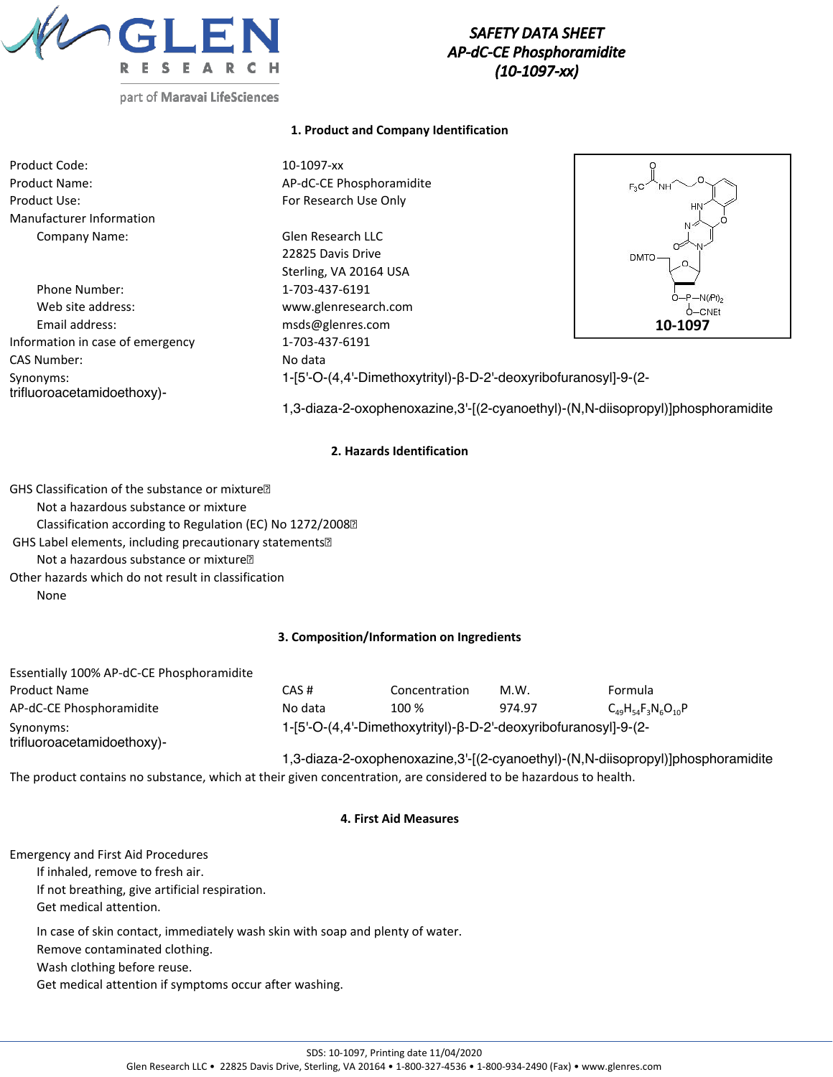

# *SAFETY DATA SHEET AP-dC-CE Phosphoramidite (10-1097-xx)*

### **1. Product and Company Identification**

| Product Code:                           | 10-1097-xx                                                      |             |
|-----------------------------------------|-----------------------------------------------------------------|-------------|
| <b>Product Name:</b>                    | AP-dC-CE Phosphoramidite                                        | $F_3C$      |
| Product Use:                            | For Research Use Only                                           | HN          |
| Manufacturer Information                |                                                                 | N 2         |
| Company Name:                           | <b>Glen Research LLC</b>                                        |             |
|                                         | 22825 Davis Drive                                               | ≃<br>DMTO-  |
|                                         | Sterling, VA 20164 USA                                          |             |
| Phone Number:                           | 1-703-437-6191                                                  | $O-P-N(Pr)$ |
| Web site address:                       | www.glenresearch.com                                            | $O-CNET$    |
| Email address:                          | msds@glenres.com                                                | 10-1097     |
| Information in case of emergency        | 1-703-437-6191                                                  |             |
| CAS Number:                             | No data                                                         |             |
| Synonyms:<br>trifluoroacetamidoethoxy)- | 1-[5'-O-(4,4'-Dimethoxytrityl)-β-D-2'-deoxyribofuranosyl]-9-(2- |             |

1,3-diaza-2-oxophenoxazine,3'-[(2-cyanoethyl)-(N,N-diisopropyl)]phosphoramidite

### **2. Hazards Identification**

GHS Classification of the substance or mixture Not a hazardous substance or mixture Classification according to Regulation (EC) No 1272/2008 GHS Label elements, including precautionary statements Not a hazardous substance or mixture Other hazards which do not result in classification None

### **3. Composition/Information on Ingredients**

| Essentially 100% AP-dC-CE Phosphoramidite |                                                                 |               |        |                                                                                 |
|-------------------------------------------|-----------------------------------------------------------------|---------------|--------|---------------------------------------------------------------------------------|
| <b>Product Name</b>                       | CAS #                                                           | Concentration | M.W.   | <b>Formula</b>                                                                  |
| AP-dC-CE Phosphoramidite                  | No data                                                         | 100 %         | 974.97 | $C_{49}H_{54}F_3N_6O_{10}P$                                                     |
| Synonyms:<br>trifluoroacetamidoethoxy)-   | 1-[5'-O-(4,4'-Dimethoxytrityl)-β-D-2'-deoxyribofuranosyl]-9-(2- |               |        |                                                                                 |
|                                           |                                                                 |               |        | 1,3-diaza-2-oxophenoxazine,3'-[(2-cyanoethyl)-(N,N-diisopropyl)]phosphoramidite |

The product contains no substance, which at their given concentration, are considered to be hazardous to health.

### **4. First Aid Measures**

Emergency and First Aid Procedures If inhaled, remove to fresh air. If not breathing, give artificial respiration. Get medical attention. In case of skin contact, immediately wash skin with soap and plenty of water.

Remove contaminated clothing. Wash clothing before reuse.

Get medical attention if symptoms occur after washing.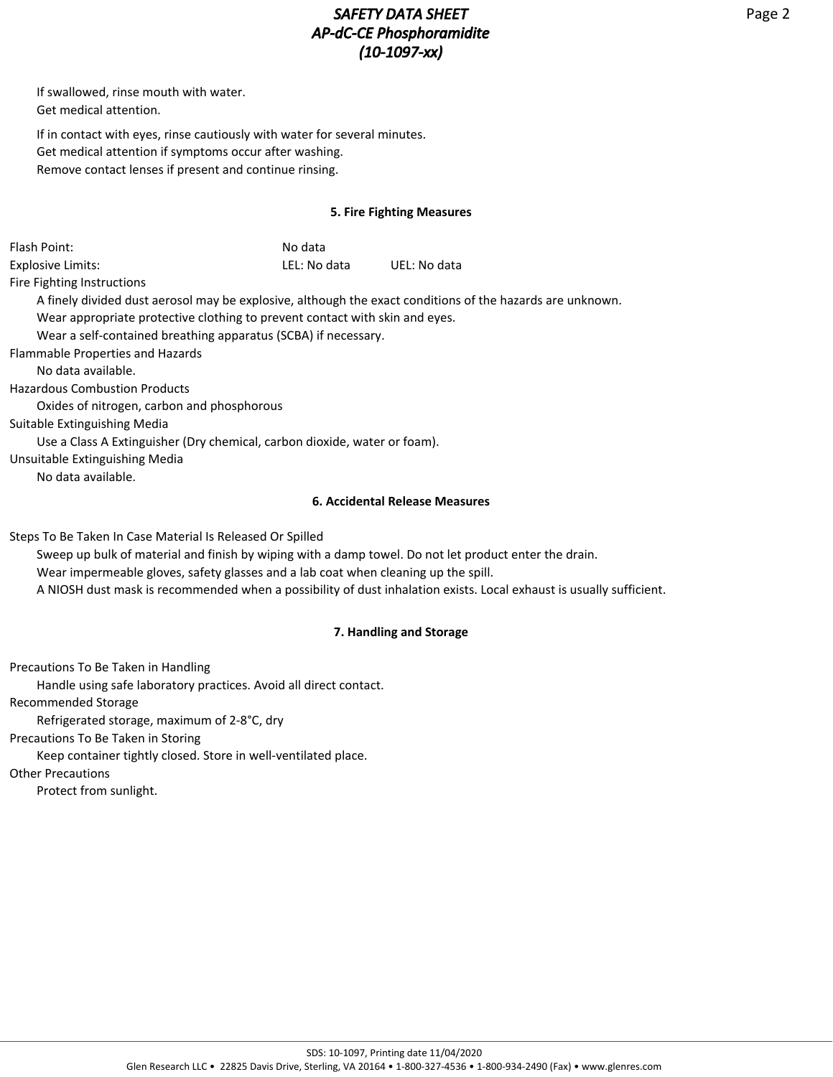# *SAFETY DATA SHEET AP-dC-CE Phosphoramidite (10-1097-xx)*

If swallowed, rinse mouth with water. Get medical attention.

If in contact with eyes, rinse cautiously with water for several minutes. Get medical attention if symptoms occur after washing. Remove contact lenses if present and continue rinsing.

## **5. Fire Fighting Measures**

| Flash Point:                                                                       | No data      |                                                                                                                     |
|------------------------------------------------------------------------------------|--------------|---------------------------------------------------------------------------------------------------------------------|
| <b>Explosive Limits:</b>                                                           | LEL: No data | UEL: No data                                                                                                        |
| Fire Fighting Instructions                                                         |              |                                                                                                                     |
|                                                                                    |              | A finely divided dust aerosol may be explosive, although the exact conditions of the hazards are unknown.           |
| Wear appropriate protective clothing to prevent contact with skin and eyes.        |              |                                                                                                                     |
| Wear a self-contained breathing apparatus (SCBA) if necessary.                     |              |                                                                                                                     |
| Flammable Properties and Hazards                                                   |              |                                                                                                                     |
| No data available.                                                                 |              |                                                                                                                     |
| <b>Hazardous Combustion Products</b>                                               |              |                                                                                                                     |
| Oxides of nitrogen, carbon and phosphorous                                         |              |                                                                                                                     |
| Suitable Extinguishing Media                                                       |              |                                                                                                                     |
| Use a Class A Extinguisher (Dry chemical, carbon dioxide, water or foam).          |              |                                                                                                                     |
| Unsuitable Extinguishing Media                                                     |              |                                                                                                                     |
| No data available.                                                                 |              |                                                                                                                     |
|                                                                                    |              | 6. Accidental Release Measures                                                                                      |
| Steps To Be Taken In Case Material Is Released Or Spilled                          |              |                                                                                                                     |
|                                                                                    |              | Sweep up bulk of material and finish by wiping with a damp towel. Do not let product enter the drain.               |
| Wear impermeable gloves, safety glasses and a lab coat when cleaning up the spill. |              |                                                                                                                     |
|                                                                                    |              | A NIOSH dust mask is recommended when a possibility of dust inhalation exists. Local exhaust is usually sufficient. |
|                                                                                    |              | <b>7. Handling and Storage</b>                                                                                      |

## **7. Handling and Storage**

Precautions To Be Taken in Handling

Handle using safe laboratory practices. Avoid all direct contact.

Recommended Storage

Refrigerated storage, maximum of 2-8°C, dry

Precautions To Be Taken in Storing

Keep container tightly closed. Store in well-ventilated place.

Other Precautions

Protect from sunlight.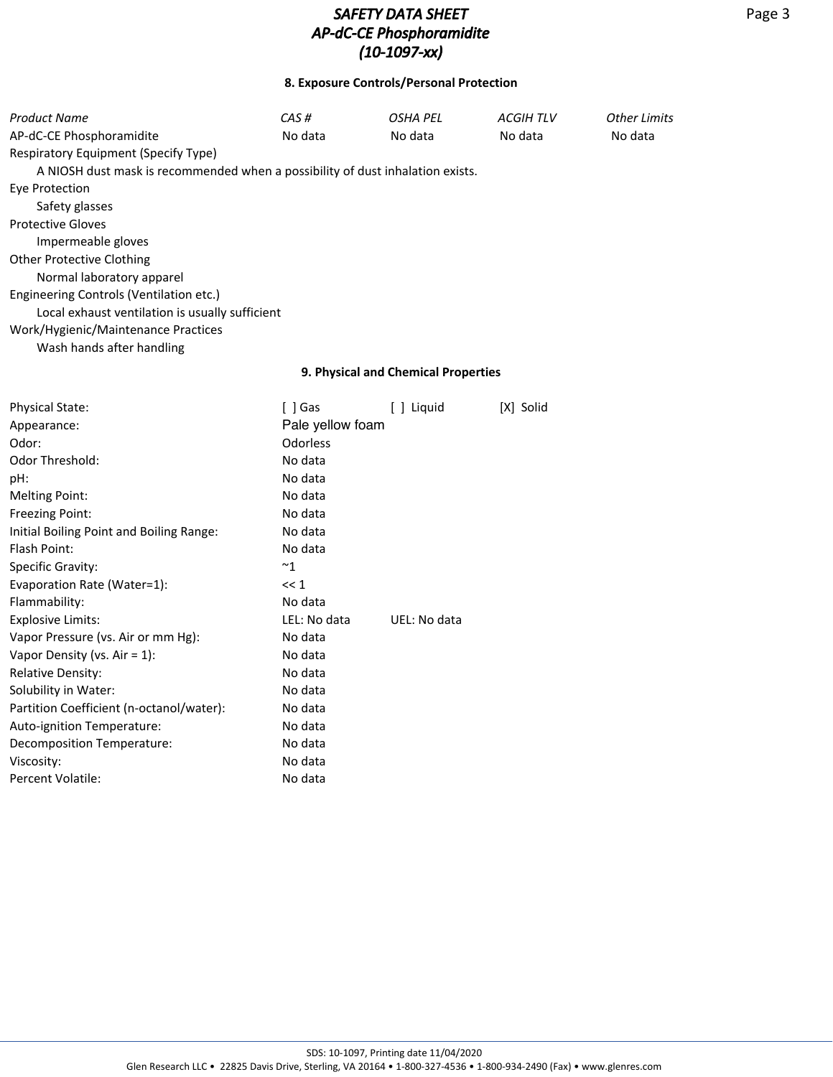## **8. Exposure Controls/Personal Protection**

| Product Name                                                                   | CAS#             | <b>OSHA PEL</b>                     | <b>ACGIHTLV</b> | <b>Other Limits</b> |
|--------------------------------------------------------------------------------|------------------|-------------------------------------|-----------------|---------------------|
| AP-dC-CE Phosphoramidite                                                       | No data          | No data                             | No data         | No data             |
| Respiratory Equipment (Specify Type)                                           |                  |                                     |                 |                     |
| A NIOSH dust mask is recommended when a possibility of dust inhalation exists. |                  |                                     |                 |                     |
| <b>Eye Protection</b>                                                          |                  |                                     |                 |                     |
| Safety glasses                                                                 |                  |                                     |                 |                     |
| <b>Protective Gloves</b>                                                       |                  |                                     |                 |                     |
| Impermeable gloves                                                             |                  |                                     |                 |                     |
| <b>Other Protective Clothing</b>                                               |                  |                                     |                 |                     |
| Normal laboratory apparel                                                      |                  |                                     |                 |                     |
| Engineering Controls (Ventilation etc.)                                        |                  |                                     |                 |                     |
| Local exhaust ventilation is usually sufficient                                |                  |                                     |                 |                     |
| Work/Hygienic/Maintenance Practices                                            |                  |                                     |                 |                     |
| Wash hands after handling                                                      |                  |                                     |                 |                     |
|                                                                                |                  | 9. Physical and Chemical Properties |                 |                     |
| <b>Physical State:</b>                                                         | $[ ]$ Gas        | [ ] Liquid                          | [X] Solid       |                     |
| Appearance:                                                                    | Pale yellow foam |                                     |                 |                     |
| Odor:                                                                          | Odorless         |                                     |                 |                     |
| Odor Threshold:                                                                | No data          |                                     |                 |                     |
| pH:                                                                            | No data          |                                     |                 |                     |
| <b>Melting Point:</b>                                                          | No data          |                                     |                 |                     |
| Freezing Point:                                                                | No data          |                                     |                 |                     |
| Initial Boiling Point and Boiling Range:                                       | No data          |                                     |                 |                     |
| Flash Point:                                                                   | No data          |                                     |                 |                     |
| Specific Gravity:                                                              | $~^{\sim}1$      |                                     |                 |                     |
| Evaporation Rate (Water=1):                                                    | << 1             |                                     |                 |                     |
| Flammability:                                                                  | No data          |                                     |                 |                     |
| <b>Explosive Limits:</b>                                                       | LEL: No data     | UEL: No data                        |                 |                     |
| Vapor Pressure (vs. Air or mm Hg):                                             | No data          |                                     |                 |                     |
| Vapor Density (vs. Air = $1$ ):                                                | No data          |                                     |                 |                     |
| Relative Density:                                                              | No data          |                                     |                 |                     |
| Solubility in Water:                                                           | No data          |                                     |                 |                     |
| Partition Coefficient (n-octanol/water):                                       | No data          |                                     |                 |                     |
| Auto-ignition Temperature:                                                     | No data          |                                     |                 |                     |
| Decomposition Temperature:                                                     | No data          |                                     |                 |                     |
| Viscosity:                                                                     | No data          |                                     |                 |                     |
| <b>Percent Volatile:</b>                                                       | No data          |                                     |                 |                     |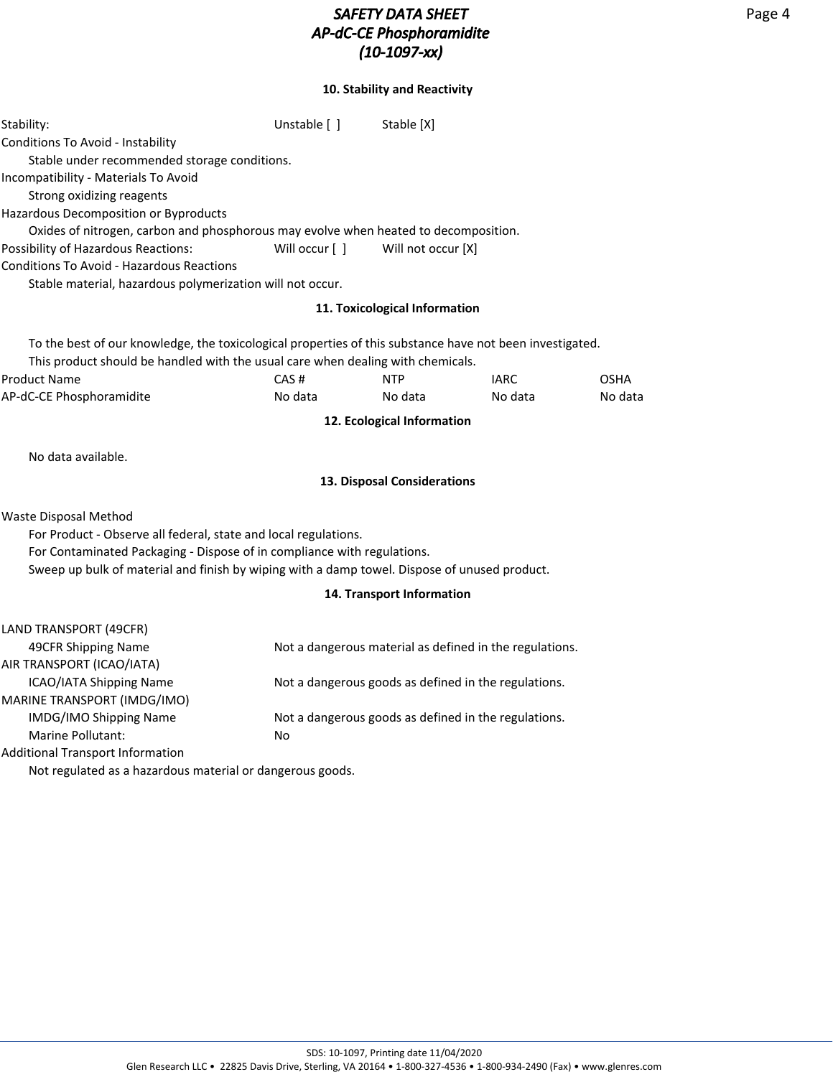## **10. Stability and Reactivity**

| Stability:                                                                                                                                                              | Unstable [ ]   | Stable [X]                    |                                                         |             |
|-------------------------------------------------------------------------------------------------------------------------------------------------------------------------|----------------|-------------------------------|---------------------------------------------------------|-------------|
| Conditions To Avoid - Instability                                                                                                                                       |                |                               |                                                         |             |
| Stable under recommended storage conditions.                                                                                                                            |                |                               |                                                         |             |
| Incompatibility - Materials To Avoid                                                                                                                                    |                |                               |                                                         |             |
| Strong oxidizing reagents                                                                                                                                               |                |                               |                                                         |             |
| Hazardous Decomposition or Byproducts                                                                                                                                   |                |                               |                                                         |             |
| Oxides of nitrogen, carbon and phosphorous may evolve when heated to decomposition.                                                                                     |                |                               |                                                         |             |
| Possibility of Hazardous Reactions:                                                                                                                                     | Will occur [ ] | Will not occur [X]            |                                                         |             |
| <b>Conditions To Avoid - Hazardous Reactions</b>                                                                                                                        |                |                               |                                                         |             |
| Stable material, hazardous polymerization will not occur.                                                                                                               |                |                               |                                                         |             |
|                                                                                                                                                                         |                | 11. Toxicological Information |                                                         |             |
| To the best of our knowledge, the toxicological properties of this substance have not been investigated.                                                                |                |                               |                                                         |             |
| This product should be handled with the usual care when dealing with chemicals.                                                                                         |                |                               |                                                         |             |
| <b>Product Name</b>                                                                                                                                                     | CAS#           | <b>NTP</b>                    | <b>IARC</b>                                             | <b>OSHA</b> |
| AP-dC-CE Phosphoramidite                                                                                                                                                | No data        | No data                       | No data                                                 | No data     |
|                                                                                                                                                                         |                | 12. Ecological Information    |                                                         |             |
| No data available.                                                                                                                                                      |                |                               |                                                         |             |
|                                                                                                                                                                         |                | 13. Disposal Considerations   |                                                         |             |
| <b>Waste Disposal Method</b>                                                                                                                                            |                |                               |                                                         |             |
| For Product - Observe all federal, state and local regulations.                                                                                                         |                |                               |                                                         |             |
| For Contaminated Packaging - Dispose of in compliance with regulations.<br>Sweep up bulk of material and finish by wiping with a damp towel. Dispose of unused product. |                |                               |                                                         |             |
|                                                                                                                                                                         |                | 14. Transport Information     |                                                         |             |
|                                                                                                                                                                         |                |                               |                                                         |             |
| LAND TRANSPORT (49CFR)                                                                                                                                                  |                |                               |                                                         |             |
| 49CFR Shipping Name                                                                                                                                                     |                |                               | Not a dangerous material as defined in the regulations. |             |
| AIR TRANSPORT (ICAO/IATA)                                                                                                                                               |                |                               |                                                         |             |
| ICAO/IATA Shipping Name                                                                                                                                                 |                |                               | Not a dangerous goods as defined in the regulations.    |             |
| MARINE TRANSPORT (IMDG/IMO)                                                                                                                                             |                |                               |                                                         |             |
| IMDG/IMO Shipping Name                                                                                                                                                  |                |                               | Not a dangerous goods as defined in the regulations.    |             |
| Marine Pollutant:                                                                                                                                                       | No             |                               |                                                         |             |
| <b>Additional Transport Information</b>                                                                                                                                 |                |                               |                                                         |             |

Not regulated as a hazardous material or dangerous goods.